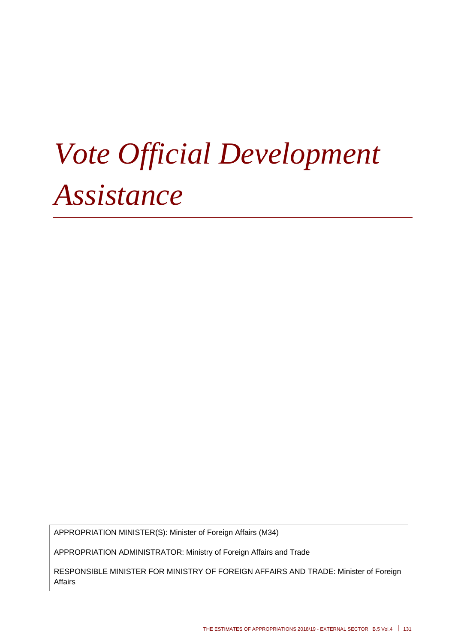# *Vote Official Development Assistance*

APPROPRIATION MINISTER(S): Minister of Foreign Affairs (M34)

APPROPRIATION ADMINISTRATOR: Ministry of Foreign Affairs and Trade

RESPONSIBLE MINISTER FOR MINISTRY OF FOREIGN AFFAIRS AND TRADE: Minister of Foreign Affairs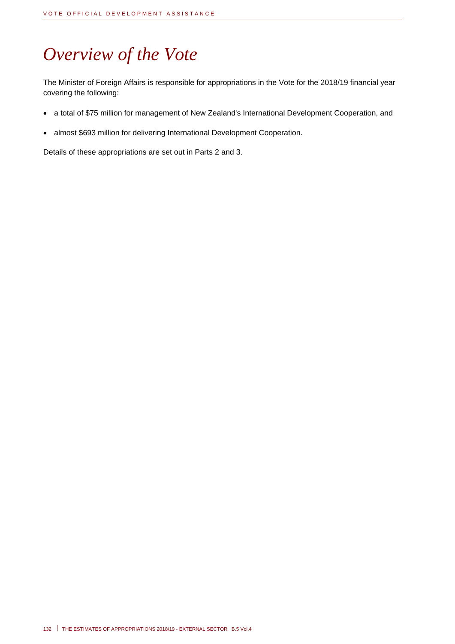# *Overview of the Vote*

The Minister of Foreign Affairs is responsible for appropriations in the Vote for the 2018/19 financial year covering the following:

- a total of \$75 million for management of New Zealand's International Development Cooperation, and
- almost \$693 million for delivering International Development Cooperation.

Details of these appropriations are set out in Parts 2 and 3.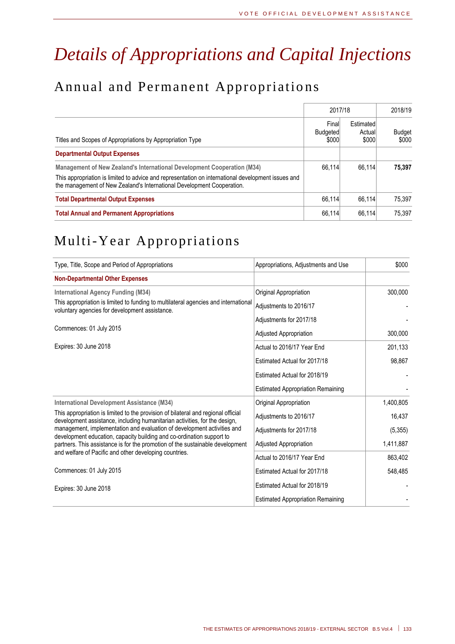# *Details of Appropriations and Capital Injections*

# Annual and Permanent Appropriatio ns

|                                                                                                                                                                              |                                   | 2017/18                      |                        |  |
|------------------------------------------------------------------------------------------------------------------------------------------------------------------------------|-----------------------------------|------------------------------|------------------------|--|
| Titles and Scopes of Appropriations by Appropriation Type                                                                                                                    | Final<br><b>Budgeted</b><br>\$000 | Estimated<br>Actual<br>\$000 | <b>Budget</b><br>\$000 |  |
| <b>Departmental Output Expenses</b>                                                                                                                                          |                                   |                              |                        |  |
| Management of New Zealand's International Development Cooperation (M34)                                                                                                      | 66.114                            | 66.114                       | 75.397                 |  |
| This appropriation is limited to advice and representation on international development issues and<br>the management of New Zealand's International Development Cooperation. |                                   |                              |                        |  |
| <b>Total Departmental Output Expenses</b>                                                                                                                                    | 66.114                            | 66.114                       | 75.397                 |  |
| <b>Total Annual and Permanent Appropriations</b>                                                                                                                             | 66,114                            | 66.114                       | 75.397                 |  |

# Multi-Year Appropriations

| Type, Title, Scope and Period of Appropriations                                                                                                                 | Appropriations, Adjustments and Use      | \$000     |
|-----------------------------------------------------------------------------------------------------------------------------------------------------------------|------------------------------------------|-----------|
| <b>Non-Departmental Other Expenses</b>                                                                                                                          |                                          |           |
| <b>International Agency Funding (M34)</b>                                                                                                                       | Original Appropriation                   | 300,000   |
| This appropriation is limited to funding to multilateral agencies and international<br>voluntary agencies for development assistance.                           | Adjustments to 2016/17                   |           |
|                                                                                                                                                                 | Adjustments for 2017/18                  |           |
| Commences: 01 July 2015                                                                                                                                         | Adjusted Appropriation                   | 300,000   |
| Expires: 30 June 2018                                                                                                                                           | Actual to 2016/17 Year End               | 201,133   |
|                                                                                                                                                                 | Estimated Actual for 2017/18             | 98,867    |
|                                                                                                                                                                 | Estimated Actual for 2018/19             |           |
|                                                                                                                                                                 | <b>Estimated Appropriation Remaining</b> |           |
| <b>International Development Assistance (M34)</b>                                                                                                               | Original Appropriation                   | 1,400,805 |
| This appropriation is limited to the provision of bilateral and regional official<br>development assistance, including humanitarian activities, for the design, | Adjustments to 2016/17                   | 16,437    |
| management, implementation and evaluation of development activities and<br>development education, capacity building and co-ordination support to                | Adjustments for 2017/18                  | (5, 355)  |
| partners. This assistance is for the promotion of the sustainable development                                                                                   | <b>Adjusted Appropriation</b>            | 1,411,887 |
| and welfare of Pacific and other developing countries.                                                                                                          | Actual to 2016/17 Year End               | 863,402   |
| Commences: 01 July 2015                                                                                                                                         | Estimated Actual for 2017/18             | 548,485   |
| Expires: 30 June 2018                                                                                                                                           | Estimated Actual for 2018/19             |           |
|                                                                                                                                                                 | <b>Estimated Appropriation Remaining</b> |           |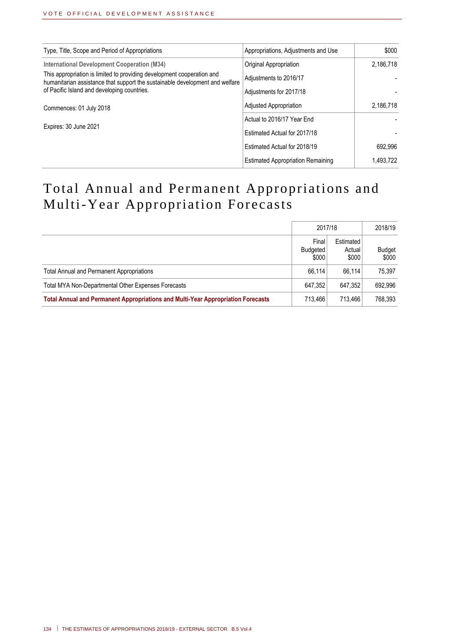| Type, Title, Scope and Period of Appropriations                                                                                                        | Appropriations, Adjustments and Use      | \$000     |
|--------------------------------------------------------------------------------------------------------------------------------------------------------|------------------------------------------|-----------|
| <b>International Development Cooperation (M34)</b>                                                                                                     | Original Appropriation                   | 2,186,718 |
| This appropriation is limited to providing development cooperation and<br>humanitarian assistance that support the sustainable development and welfare | Adjustments to 2016/17                   |           |
| of Pacific Island and developing countries.                                                                                                            | Adjustments for 2017/18                  |           |
| Commences: 01 July 2018                                                                                                                                | Adjusted Appropriation                   | 2,186,718 |
|                                                                                                                                                        | Actual to 2016/17 Year End               |           |
| Expires: 30 June 2021                                                                                                                                  | Estimated Actual for 2017/18             |           |
|                                                                                                                                                        | Estimated Actual for 2018/19             | 692.996   |
|                                                                                                                                                        | <b>Estimated Appropriation Remaining</b> | 1.493.722 |

# Total Annual and Permanent Appropriations and Multi-Year Appropriation Forecasts

|                                                                                  | 2017/18                    |                              | 2018/19                |
|----------------------------------------------------------------------------------|----------------------------|------------------------------|------------------------|
|                                                                                  | Final<br>Budgeted<br>\$000 | Estimated<br>Actual<br>\$000 | <b>Budget</b><br>\$000 |
| <b>Total Annual and Permanent Appropriations</b>                                 | 66.114                     | 66.114                       | 75.397                 |
| Total MYA Non-Departmental Other Expenses Forecasts                              | 647.352                    | 647.352                      | 692.996                |
| Total Annual and Permanent Appropriations and Multi-Year Appropriation Forecasts | 713.466                    | 713.466                      | 768.393                |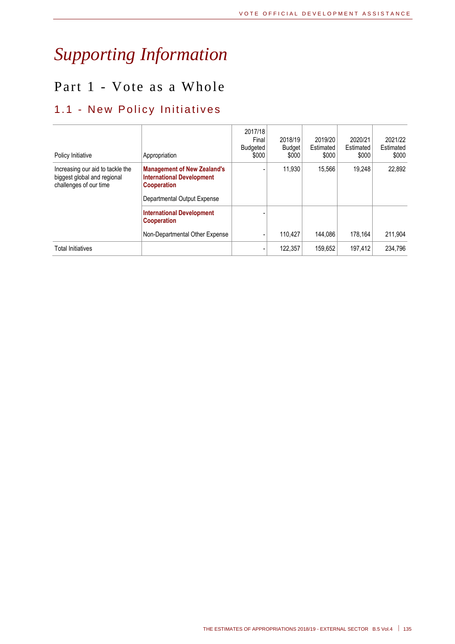# *Supporting Information*

# Part 1 - Vote as a Whole

# 1.1 - New Policy Initiatives

| Policy Initiative                                                                         | Appropriation                                                                                                               | 2017/18<br>Final<br>Budgeted<br>\$000 | 2018/19<br><b>Budget</b><br>\$000 | 2019/20<br>Estimated<br>\$000 | 2020/21<br>Estimated<br>\$000 | 2021/22<br>Estimated<br>\$000 |
|-------------------------------------------------------------------------------------------|-----------------------------------------------------------------------------------------------------------------------------|---------------------------------------|-----------------------------------|-------------------------------|-------------------------------|-------------------------------|
| Increasing our aid to tackle the<br>biggest global and regional<br>challenges of our time | <b>Management of New Zealand's</b><br><b>International Development</b><br><b>Cooperation</b><br>Departmental Output Expense |                                       | 11.930                            | 15.566                        | 19.248                        | 22.892                        |
|                                                                                           | <b>International Development</b><br><b>Cooperation</b>                                                                      |                                       |                                   |                               |                               |                               |
|                                                                                           | Non-Departmental Other Expense                                                                                              |                                       | 110.427                           | 144.086                       | 178.164                       | 211.904                       |
| Total Initiatives                                                                         |                                                                                                                             |                                       | 122.357                           | 159.652                       | 197.412                       | 234.796                       |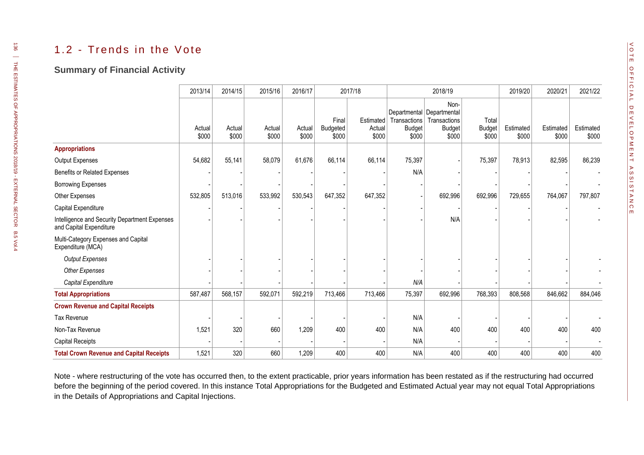### 1.2 - Trends in the Vote

#### **Summary of Financial Activity**

|                                                                          | 2013/14         | 2014/15         | 2015/16         | 2016/17         |                            | 2017/18                      |                                                                     | 2018/19                                        |                                 | 2019/20            | 2020/21            | 2021/22            |
|--------------------------------------------------------------------------|-----------------|-----------------|-----------------|-----------------|----------------------------|------------------------------|---------------------------------------------------------------------|------------------------------------------------|---------------------------------|--------------------|--------------------|--------------------|
|                                                                          | Actual<br>\$000 | Actual<br>\$000 | Actual<br>\$000 | Actual<br>\$000 | Final<br>Budgeted<br>\$000 | Estimated<br>Actual<br>\$000 | Departmental Departmental<br>Transactions<br><b>Budget</b><br>\$000 | Non-<br>Transactions<br><b>Budget</b><br>\$000 | Total<br><b>Budget</b><br>\$000 | Estimated<br>\$000 | Estimated<br>\$000 | Estimated<br>\$000 |
| <b>Appropriations</b>                                                    |                 |                 |                 |                 |                            |                              |                                                                     |                                                |                                 |                    |                    |                    |
| Output Expenses                                                          | 54,682          | 55,141          | 58,079          | 61,676          | 66,114                     | 66,114                       | 75,397                                                              |                                                | 75,397                          | 78,913             | 82,595             | 86,239             |
| Benefits or Related Expenses                                             |                 |                 |                 |                 |                            |                              | N/A                                                                 |                                                |                                 |                    |                    |                    |
| <b>Borrowing Expenses</b>                                                |                 |                 |                 |                 |                            |                              |                                                                     |                                                |                                 |                    |                    |                    |
| Other Expenses                                                           | 532,805         | 513,016         | 533,992         | 530,543         | 647,352                    | 647,352                      |                                                                     | 692,996                                        | 692,996                         | 729,655            | 764,067            | 797,807            |
| Capital Expenditure                                                      |                 |                 |                 |                 |                            |                              |                                                                     |                                                |                                 |                    |                    |                    |
| Intelligence and Security Department Expenses<br>and Capital Expenditure |                 |                 |                 |                 |                            |                              |                                                                     | N/A                                            |                                 |                    |                    |                    |
| Multi-Category Expenses and Capital<br>Expenditure (MCA)                 |                 |                 |                 |                 |                            |                              |                                                                     |                                                |                                 |                    |                    |                    |
| <b>Output Expenses</b>                                                   |                 |                 |                 |                 |                            |                              |                                                                     |                                                |                                 |                    |                    |                    |
| <b>Other Expenses</b>                                                    |                 |                 |                 |                 |                            |                              |                                                                     |                                                |                                 |                    |                    |                    |
| Capital Expenditure                                                      |                 |                 |                 |                 |                            |                              | N/A                                                                 |                                                |                                 |                    |                    |                    |
| <b>Total Appropriations</b>                                              | 587,487         | 568,157         | 592,071         | 592,219         | 713,466                    | 713,466                      | 75,397                                                              | 692,996                                        | 768,393                         | 808,568            | 846,662            | 884,046            |
| <b>Crown Revenue and Capital Receipts</b>                                |                 |                 |                 |                 |                            |                              |                                                                     |                                                |                                 |                    |                    |                    |
| Tax Revenue                                                              |                 |                 |                 |                 |                            |                              | N/A                                                                 |                                                |                                 |                    |                    |                    |
| Non-Tax Revenue                                                          | 1,521           | 320             | 660             | 1,209           | 400                        | 400                          | N/A                                                                 | 400                                            | 400                             | 400                | 400                | 400                |
| Capital Receipts                                                         |                 |                 |                 |                 |                            |                              | N/A                                                                 |                                                |                                 |                    |                    |                    |
| <b>Total Crown Revenue and Capital Receipts</b>                          | 1,521           | 320             | 660             | 1,209           | 400                        | 400                          | N/A                                                                 | 400                                            | 400                             | 400                | 400                | 400                |

Note - where restructuring of the vote has occurred then, to the extent practicable, prior years information has been restated as if the restructuring had occurred before the beginning of the period covered. In this instance Total Appropriations for the Budgeted and Estimated Actual year may not equal Total Appropriations in the Details of Appropriations and Capital Injections.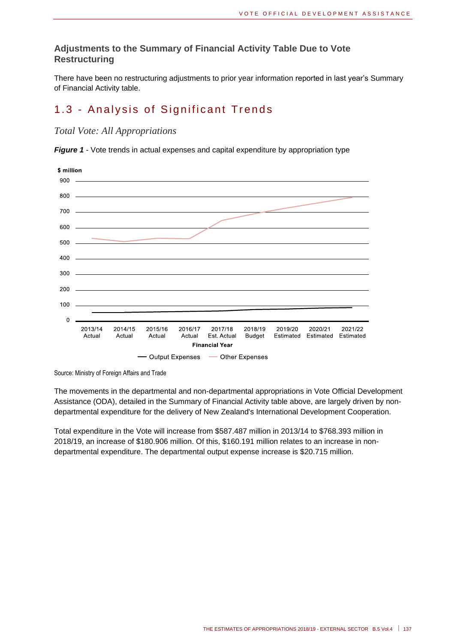#### **Adjustments to the Summary of Financial Activity Table Due to Vote Restructuring**

There have been no restructuring adjustments to prior year information reported in last year's Summary of Financial Activity table.

# 1.3 - Analysis of Significant Trends

*Total Vote: All Appropriations*

*Figure 1* - Vote trends in actual expenses and capital expenditure by appropriation type



Source: Ministry of Foreign Affairs and Trade

The movements in the departmental and non-departmental appropriations in Vote Official Development Assistance (ODA), detailed in the Summary of Financial Activity table above, are largely driven by nondepartmental expenditure for the delivery of New Zealand's International Development Cooperation.

Total expenditure in the Vote will increase from \$587.487 million in 2013/14 to \$768.393 million in 2018/19, an increase of \$180.906 million. Of this, \$160.191 million relates to an increase in nondepartmental expenditure. The departmental output expense increase is \$20.715 million.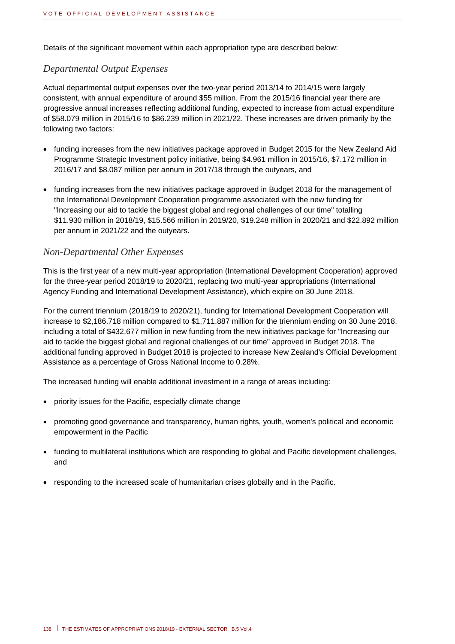Details of the significant movement within each appropriation type are described below:

#### *Departmental Output Expenses*

Actual departmental output expenses over the two-year period 2013/14 to 2014/15 were largely consistent, with annual expenditure of around \$55 million. From the 2015/16 financial year there are progressive annual increases reflecting additional funding, expected to increase from actual expenditure of \$58.079 million in 2015/16 to \$86.239 million in 2021/22. These increases are driven primarily by the following two factors:

- funding increases from the new initiatives package approved in Budget 2015 for the New Zealand Aid Programme Strategic Investment policy initiative, being \$4.961 million in 2015/16, \$7.172 million in 2016/17 and \$8.087 million per annum in 2017/18 through the outyears, and
- funding increases from the new initiatives package approved in Budget 2018 for the management of the International Development Cooperation programme associated with the new funding for "Increasing our aid to tackle the biggest global and regional challenges of our time" totalling \$11.930 million in 2018/19, \$15.566 million in 2019/20, \$19.248 million in 2020/21 and \$22.892 million per annum in 2021/22 and the outyears.

#### *Non-Departmental Other Expenses*

This is the first year of a new multi-year appropriation (International Development Cooperation) approved for the three-year period 2018/19 to 2020/21, replacing two multi-year appropriations (International Agency Funding and International Development Assistance), which expire on 30 June 2018.

For the current triennium (2018/19 to 2020/21), funding for International Development Cooperation will increase to \$2,186.718 million compared to \$1,711.887 million for the triennium ending on 30 June 2018, including a total of \$432.677 million in new funding from the new initiatives package for "Increasing our aid to tackle the biggest global and regional challenges of our time" approved in Budget 2018. The additional funding approved in Budget 2018 is projected to increase New Zealand's Official Development Assistance as a percentage of Gross National Income to 0.28%.

The increased funding will enable additional investment in a range of areas including:

- priority issues for the Pacific, especially climate change
- promoting good governance and transparency, human rights, youth, women's political and economic empowerment in the Pacific
- funding to multilateral institutions which are responding to global and Pacific development challenges, and
- responding to the increased scale of humanitarian crises globally and in the Pacific.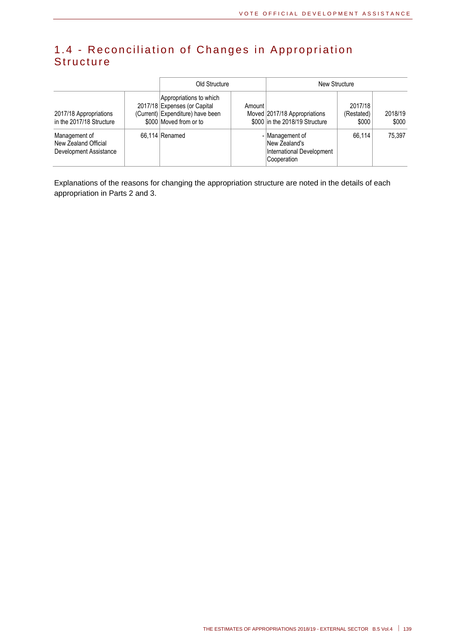## 1.4 - Reconciliation of Changes in Appropriation **Structure**

|                                                                 | Old Structure                                                                                                         |        | New Structure                                                                |                                |                  |  |
|-----------------------------------------------------------------|-----------------------------------------------------------------------------------------------------------------------|--------|------------------------------------------------------------------------------|--------------------------------|------------------|--|
| 2017/18 Appropriations<br>in the 2017/18 Structure              | Appropriations to which<br>2017/18 Expenses (or Capital<br>(Current) Expenditure) have been<br>\$000 Moved from or to | Amount | Moved 2017/18 Appropriations<br>\$000 in the 2018/19 Structure               | 2017/18<br>(Restated)<br>\$000 | 2018/19<br>\$000 |  |
| Management of<br>New Zealand Official<br>Development Assistance | 66.114 Renamed                                                                                                        |        | - Management of<br>New Zealand's<br>International Development<br>Cooperation | 66.114                         | 75.397           |  |

Explanations of the reasons for changing the appropriation structure are noted in the details of each appropriation in Parts 2 and 3.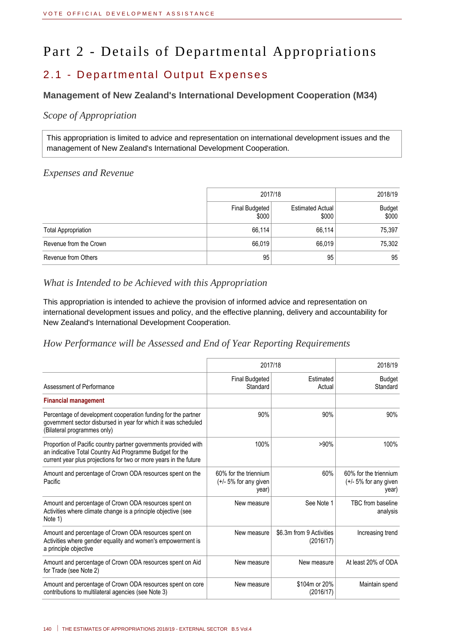# Part 2 - Details of Departmental Appropriations

## 2.1 - Departmental Output Expenses

#### **Management of New Zealand's International Development Cooperation (M34)**

#### *Scope of Appropriation*

This appropriation is limited to advice and representation on international development issues and the management of New Zealand's International Development Cooperation.

#### *Expenses and Revenue*

|                            | 2017/18                 | 2018/19                          |                        |
|----------------------------|-------------------------|----------------------------------|------------------------|
|                            | Final Budgeted<br>\$000 | <b>Estimated Actual</b><br>\$000 | <b>Budget</b><br>\$000 |
| <b>Total Appropriation</b> | 66,114                  | 66,114                           | 75,397                 |
| Revenue from the Crown     | 66,019                  | 66,019                           | 75,302                 |
| Revenue from Others        | 95                      | 95                               | 95                     |

#### *What is Intended to be Achieved with this Appropriation*

This appropriation is intended to achieve the provision of informed advice and representation on international development issues and policy, and the effective planning, delivery and accountability for New Zealand's International Development Cooperation.

*How Performance will be Assessed and End of Year Reporting Requirements*

|                                                                                                                                                                                                  | 2017/18                                                   | 2018/19                               |                                                           |
|--------------------------------------------------------------------------------------------------------------------------------------------------------------------------------------------------|-----------------------------------------------------------|---------------------------------------|-----------------------------------------------------------|
| Assessment of Performance                                                                                                                                                                        | <b>Final Budgeted</b><br>Standard                         | Estimated<br>Actual                   | <b>Budget</b><br>Standard                                 |
| <b>Financial management</b>                                                                                                                                                                      |                                                           |                                       |                                                           |
| Percentage of development cooperation funding for the partner<br>government sector disbursed in year for which it was scheduled<br>(Bilateral programmes only)                                   | 90%                                                       | 90%                                   | 90%                                                       |
| Proportion of Pacific country partner governments provided with<br>an indicative Total Country Aid Programme Budget for the<br>current year plus projections for two or more years in the future | 100%                                                      | $>90\%$                               | 100%                                                      |
| Amount and percentage of Crown ODA resources spent on the<br>Pacific                                                                                                                             | 60% for the triennium<br>$(+/- 5%$ for any given<br>year) | 60%                                   | 60% for the triennium<br>$(+/- 5%$ for any given<br>year) |
| Amount and percentage of Crown ODA resources spent on<br>Activities where climate change is a principle objective (see<br>Note 1)                                                                | New measure                                               | See Note 1                            | TBC from baseline<br>analysis                             |
| Amount and percentage of Crown ODA resources spent on<br>Activities where gender equality and women's empowerment is<br>a principle objective                                                    | New measure                                               | \$6.3m from 9 Activities<br>(2016/17) | Increasing trend                                          |
| Amount and percentage of Crown ODA resources spent on Aid<br>for Trade (see Note 2)                                                                                                              | New measure                                               | New measure                           | At least 20% of ODA                                       |
| Amount and percentage of Crown ODA resources spent on core<br>contributions to multilateral agencies (see Note 3)                                                                                | New measure                                               | \$104m or 20%<br>(2016/17)            | Maintain spend                                            |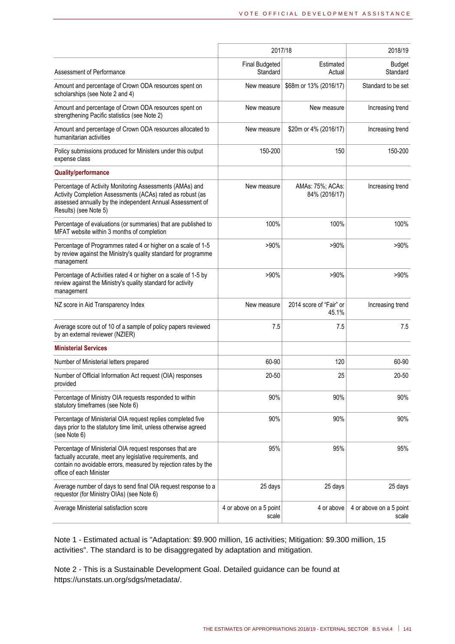|                                                                                                                                                                                                                      | 2017/18                           | 2018/19                           |                                  |
|----------------------------------------------------------------------------------------------------------------------------------------------------------------------------------------------------------------------|-----------------------------------|-----------------------------------|----------------------------------|
| Assessment of Performance                                                                                                                                                                                            | <b>Final Budgeted</b><br>Standard | Estimated<br>Actual               | <b>Budget</b><br>Standard        |
| Amount and percentage of Crown ODA resources spent on<br>scholarships (see Note 2 and 4)                                                                                                                             | New measure                       | \$68m or 13% (2016/17)            | Standard to be set               |
| Amount and percentage of Crown ODA resources spent on<br>strengthening Pacific statistics (see Note 2)                                                                                                               | New measure                       | New measure                       | Increasing trend                 |
| Amount and percentage of Crown ODA resources allocated to<br>humanitarian activities                                                                                                                                 | New measure                       | \$20m or 4% (2016/17)             | Increasing trend                 |
| Policy submissions produced for Ministers under this output<br>expense class                                                                                                                                         | 150-200                           | 150                               | 150-200                          |
| <b>Quality/performance</b>                                                                                                                                                                                           |                                   |                                   |                                  |
| Percentage of Activity Monitoring Assessments (AMAs) and<br>Activity Completion Assessments (ACAs) rated as robust (as<br>assessed annually by the independent Annual Assessment of<br>Results) (see Note 5)         | New measure                       | AMAs: 75%; ACAs:<br>84% (2016/17) | Increasing trend                 |
| Percentage of evaluations (or summaries) that are published to<br>MFAT website within 3 months of completion                                                                                                         | 100%                              | 100%                              | 100%                             |
| Percentage of Programmes rated 4 or higher on a scale of 1-5<br>by review against the Ministry's quality standard for programme<br>management                                                                        | $>90\%$                           | $>90\%$                           | $>90\%$                          |
| Percentage of Activities rated 4 or higher on a scale of 1-5 by<br>review against the Ministry's quality standard for activity<br>management                                                                         | >90%                              | $>90\%$                           | $>90\%$                          |
| NZ score in Aid Transparency Index                                                                                                                                                                                   | New measure                       | 2014 score of "Fair" or<br>45.1%  | Increasing trend                 |
| Average score out of 10 of a sample of policy papers reviewed<br>by an external reviewer (NZIER)                                                                                                                     | 7.5                               | 7.5                               | 7.5                              |
| <b>Ministerial Services</b>                                                                                                                                                                                          |                                   |                                   |                                  |
| Number of Ministerial letters prepared                                                                                                                                                                               | 60-90                             | 120                               | 60-90                            |
| Number of Official Information Act request (OIA) responses<br>provided                                                                                                                                               | 20-50                             | 25                                | 20-50                            |
| Percentage of Ministry OIA requests responded to within<br>statutory timeframes (see Note 6)                                                                                                                         | 90%                               | 90%                               | 90%                              |
| Percentage of Ministerial OIA request replies completed five<br>days prior to the statutory time limit, unless otherwise agreed<br>(see Note 6)                                                                      | 90%                               | 90%                               | 90%                              |
| Percentage of Ministerial OIA request responses that are<br>factually accurate, meet any legislative requirements, and<br>contain no avoidable errors, measured by rejection rates by the<br>office of each Minister | 95%                               | 95%                               | 95%                              |
| Average number of days to send final OIA request response to a<br>requestor (for Ministry OIAs) (see Note 6)                                                                                                         | 25 days                           | 25 days                           | 25 days                          |
| Average Ministerial satisfaction score                                                                                                                                                                               | 4 or above on a 5 point<br>scale  | 4 or above                        | 4 or above on a 5 point<br>scale |

Note 1 - Estimated actual is "Adaptation: \$9.900 million, 16 activities; Mitigation: \$9.300 million, 15 activities". The standard is to be disaggregated by adaptation and mitigation.

Note 2 - This is a Sustainable Development Goal. Detailed guidance can be found at https://unstats.un.org/sdgs/metadata/.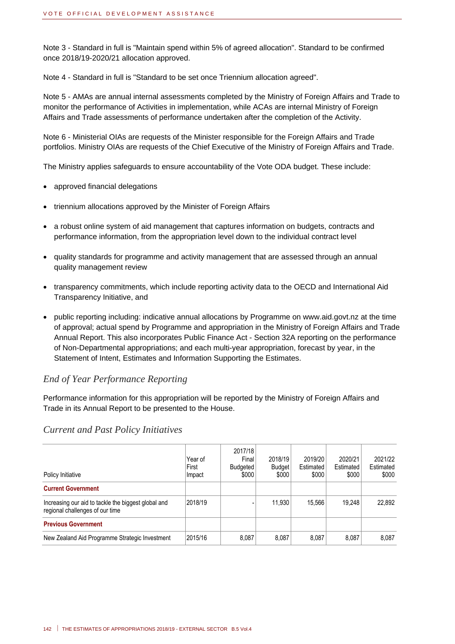Note 3 - Standard in full is "Maintain spend within 5% of agreed allocation". Standard to be confirmed once 2018/19-2020/21 allocation approved.

Note 4 - Standard in full is "Standard to be set once Triennium allocation agreed".

Note 5 - AMAs are annual internal assessments completed by the Ministry of Foreign Affairs and Trade to monitor the performance of Activities in implementation, while ACAs are internal Ministry of Foreign Affairs and Trade assessments of performance undertaken after the completion of the Activity.

Note 6 - Ministerial OIAs are requests of the Minister responsible for the Foreign Affairs and Trade portfolios. Ministry OIAs are requests of the Chief Executive of the Ministry of Foreign Affairs and Trade.

The Ministry applies safeguards to ensure accountability of the Vote ODA budget. These include:

- approved financial delegations
- triennium allocations approved by the Minister of Foreign Affairs
- a robust online system of aid management that captures information on budgets, contracts and performance information, from the appropriation level down to the individual contract level
- quality standards for programme and activity management that are assessed through an annual quality management review
- transparency commitments, which include reporting activity data to the OECD and International Aid Transparency Initiative, and
- public reporting including: indicative annual allocations by Programme on www.aid.govt.nz at the time of approval; actual spend by Programme and appropriation in the Ministry of Foreign Affairs and Trade Annual Report. This also incorporates Public Finance Act - Section 32A reporting on the performance of Non-Departmental appropriations; and each multi-year appropriation, forecast by year, in the Statement of Intent, Estimates and Information Supporting the Estimates.

#### *End of Year Performance Reporting*

Performance information for this appropriation will be reported by the Ministry of Foreign Affairs and Trade in its Annual Report to be presented to the House.

| Policy Initiative                                                                      | Year of<br>First<br>Impact | 2017/18<br>Final<br>Budgeted<br>\$000 | 2018/19<br>Budget<br>\$000 | 2019/20<br>Estimated<br>\$000 | 2020/21<br>Estimated<br>\$000 | 2021/22<br>Estimated<br>\$000 |
|----------------------------------------------------------------------------------------|----------------------------|---------------------------------------|----------------------------|-------------------------------|-------------------------------|-------------------------------|
| <b>Current Government</b>                                                              |                            |                                       |                            |                               |                               |                               |
| Increasing our aid to tackle the biggest global and<br>regional challenges of our time | 2018/19                    |                                       | 11.930                     | 15.566                        | 19.248                        | 22.892                        |
| <b>Previous Government</b>                                                             |                            |                                       |                            |                               |                               |                               |
| New Zealand Aid Programme Strategic Investment                                         | 2015/16                    | 8,087                                 | 8.087                      | 8.087                         | 8.087                         | 8.087                         |

#### *Current and Past Policy Initiatives*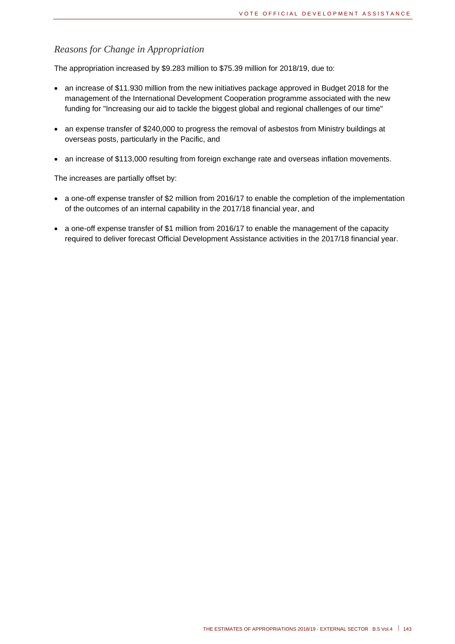#### *Reasons for Change in Appropriation*

The appropriation increased by \$9.283 million to \$75.39 million for 2018/19, due to:

- an increase of \$11.930 million from the new initiatives package approved in Budget 2018 for the management of the International Development Cooperation programme associated with the new funding for "Increasing our aid to tackle the biggest global and regional challenges of our time"
- an expense transfer of \$240,000 to progress the removal of asbestos from Ministry buildings at overseas posts, particularly in the Pacific, and
- an increase of \$113,000 resulting from foreign exchange rate and overseas inflation movements.

The increases are partially offset by:

- a one-off expense transfer of \$2 million from 2016/17 to enable the completion of the implementation of the outcomes of an internal capability in the 2017/18 financial year, and
- a one-off expense transfer of \$1 million from 2016/17 to enable the management of the capacity required to deliver forecast Official Development Assistance activities in the 2017/18 financial year.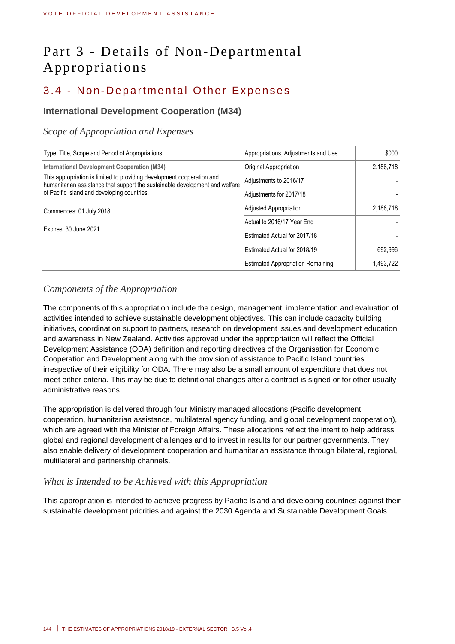# Part 3 - Details of Non-Departmental Appropriations

## 3.4 - Non-Departmental Other Expenses

#### **International Development Cooperation (M34)**

#### *Scope of Appropriation and Expenses*

| Type, Title, Scope and Period of Appropriations                                                                                                        | Appropriations, Adjustments and Use      | \$000     |
|--------------------------------------------------------------------------------------------------------------------------------------------------------|------------------------------------------|-----------|
| <b>International Development Cooperation (M34)</b>                                                                                                     | Original Appropriation                   | 2,186,718 |
| This appropriation is limited to providing development cooperation and<br>humanitarian assistance that support the sustainable development and welfare | Adjustments to 2016/17                   |           |
| of Pacific Island and developing countries.                                                                                                            | Adjustments for 2017/18                  |           |
| Commences: 01 July 2018                                                                                                                                | Adjusted Appropriation                   | 2,186,718 |
|                                                                                                                                                        | Actual to 2016/17 Year End               |           |
| Expires: 30 June 2021                                                                                                                                  | Estimated Actual for 2017/18             |           |
|                                                                                                                                                        | Estimated Actual for 2018/19             | 692.996   |
|                                                                                                                                                        | <b>Estimated Appropriation Remaining</b> | 1.493.722 |

#### *Components of the Appropriation*

The components of this appropriation include the design, management, implementation and evaluation of activities intended to achieve sustainable development objectives. This can include capacity building initiatives, coordination support to partners, research on development issues and development education and awareness in New Zealand. Activities approved under the appropriation will reflect the Official Development Assistance (ODA) definition and reporting directives of the Organisation for Economic Cooperation and Development along with the provision of assistance to Pacific Island countries irrespective of their eligibility for ODA. There may also be a small amount of expenditure that does not meet either criteria. This may be due to definitional changes after a contract is signed or for other usually administrative reasons.

The appropriation is delivered through four Ministry managed allocations (Pacific development cooperation, humanitarian assistance, multilateral agency funding, and global development cooperation), which are agreed with the Minister of Foreign Affairs. These allocations reflect the intent to help address global and regional development challenges and to invest in results for our partner governments. They also enable delivery of development cooperation and humanitarian assistance through bilateral, regional, multilateral and partnership channels.

#### *What is Intended to be Achieved with this Appropriation*

This appropriation is intended to achieve progress by Pacific Island and developing countries against their sustainable development priorities and against the 2030 Agenda and Sustainable Development Goals.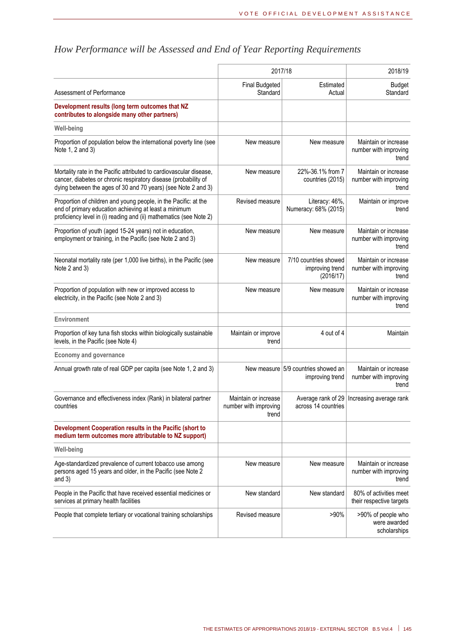|                                                                                                                                                                                                         | 2017/18                                                | 2018/19                                                |                                                        |  |
|---------------------------------------------------------------------------------------------------------------------------------------------------------------------------------------------------------|--------------------------------------------------------|--------------------------------------------------------|--------------------------------------------------------|--|
| Assessment of Performance                                                                                                                                                                               | <b>Final Budgeted</b><br>Standard                      | Estimated<br>Actual                                    | <b>Budget</b><br>Standard                              |  |
| Development results (long term outcomes that NZ<br>contributes to alongside many other partners)                                                                                                        |                                                        |                                                        |                                                        |  |
| <b>Well-being</b>                                                                                                                                                                                       |                                                        |                                                        |                                                        |  |
| Proportion of population below the international poverty line (see<br>Note 1, 2 and 3)                                                                                                                  | New measure                                            | New measure                                            | Maintain or increase<br>number with improving<br>trend |  |
| Mortality rate in the Pacific attributed to cardiovascular disease,<br>cancer, diabetes or chronic respiratory disease (probability of<br>dying between the ages of 30 and 70 years) (see Note 2 and 3) | New measure                                            | 22%-36.1% from 7<br>countries (2015)                   | Maintain or increase<br>number with improving<br>trend |  |
| Proportion of children and young people, in the Pacific: at the<br>end of primary education achieving at least a minimum<br>proficiency level in (i) reading and (ii) mathematics (see Note 2)          | Revised measure                                        | Literacy: 46%,<br>Numeracy: 68% (2015)                 | Maintain or improve<br>trend                           |  |
| Proportion of youth (aged 15-24 years) not in education,<br>employment or training, in the Pacific (see Note 2 and 3)                                                                                   | New measure                                            | New measure                                            | Maintain or increase<br>number with improving<br>trend |  |
| Neonatal mortality rate (per 1,000 live births), in the Pacific (see<br>Note 2 and 3)                                                                                                                   | New measure                                            | 7/10 countries showed<br>improving trend<br>(2016/17)  | Maintain or increase<br>number with improving<br>trend |  |
| Proportion of population with new or improved access to<br>electricity, in the Pacific (see Note 2 and 3)                                                                                               | New measure                                            | New measure                                            | Maintain or increase<br>number with improving<br>trend |  |
| Environment                                                                                                                                                                                             |                                                        |                                                        |                                                        |  |
| Proportion of key tuna fish stocks within biologically sustainable<br>levels, in the Pacific (see Note 4)                                                                                               | Maintain or improve<br>trend                           | 4 out of 4                                             | Maintain                                               |  |
| <b>Economy and governance</b>                                                                                                                                                                           |                                                        |                                                        |                                                        |  |
| Annual growth rate of real GDP per capita (see Note 1, 2 and 3)                                                                                                                                         |                                                        | New measure 5/9 countries showed an<br>improving trend | Maintain or increase<br>number with improving<br>trend |  |
| Governance and effectiveness index (Rank) in bilateral partner<br>countries                                                                                                                             | Maintain or increase<br>number with improving<br>trend | Average rank of 29<br>across 14 countries              | Increasing average rank                                |  |
| Development Cooperation results in the Pacific (short to<br>medium term outcomes more attributable to NZ support)                                                                                       |                                                        |                                                        |                                                        |  |
| <b>Well-being</b>                                                                                                                                                                                       |                                                        |                                                        |                                                        |  |
| Age-standardized prevalence of current tobacco use among<br>persons aged 15 years and older, in the Pacific (see Note 2<br>and $3)$                                                                     | New measure                                            | New measure                                            | Maintain or increase<br>number with improving<br>trend |  |
| People in the Pacific that have received essential medicines or<br>services at primary health facilities                                                                                                | New standard                                           | New standard                                           | 80% of activities meet<br>their respective targets     |  |
| People that complete tertiary or vocational training scholarships                                                                                                                                       | Revised measure                                        | $>90\%$                                                | >90% of people who<br>were awarded<br>scholarships     |  |
|                                                                                                                                                                                                         |                                                        |                                                        |                                                        |  |

# *How Performance will be Assessed and End of Year Reporting Requirements*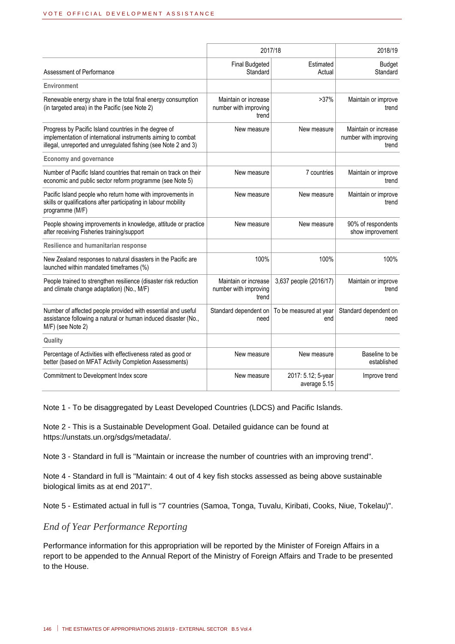|                                                                                                                                                                                         | 2017/18                                                | 2018/19                            |                                                        |
|-----------------------------------------------------------------------------------------------------------------------------------------------------------------------------------------|--------------------------------------------------------|------------------------------------|--------------------------------------------------------|
| Assessment of Performance                                                                                                                                                               | <b>Final Budgeted</b><br>Standard                      | Estimated<br>Actual                | <b>Budget</b><br>Standard                              |
| Environment                                                                                                                                                                             |                                                        |                                    |                                                        |
| Renewable energy share in the total final energy consumption<br>(in targeted area) in the Pacific (see Note 2)                                                                          | Maintain or increase<br>number with improving<br>trend | >37%                               | Maintain or improve<br>trend                           |
| Progress by Pacific Island countries in the degree of<br>implementation of international instruments aiming to combat<br>illegal, unreported and unregulated fishing (see Note 2 and 3) | New measure                                            | New measure                        | Maintain or increase<br>number with improving<br>trend |
| <b>Economy and governance</b>                                                                                                                                                           |                                                        |                                    |                                                        |
| Number of Pacific Island countries that remain on track on their<br>economic and public sector reform programme (see Note 5)                                                            | New measure                                            | 7 countries                        | Maintain or improve<br>trend                           |
| Pacific Island people who return home with improvements in<br>skills or qualifications after participating in labour mobility<br>programme (M/F)                                        | New measure                                            | New measure                        | Maintain or improve<br>trend                           |
| People showing improvements in knowledge, attitude or practice<br>after receiving Fisheries training/support                                                                            | New measure                                            | New measure                        | 90% of respondents<br>show improvement                 |
| Resilience and humanitarian response                                                                                                                                                    |                                                        |                                    |                                                        |
| New Zealand responses to natural disasters in the Pacific are<br>launched within mandated timeframes (%)                                                                                | 100%                                                   | 100%                               | 100%                                                   |
| People trained to strengthen resilience (disaster risk reduction<br>and climate change adaptation) (No., M/F)                                                                           | Maintain or increase<br>number with improving<br>trend | 3,637 people (2016/17)             | Maintain or improve<br>trend                           |
| Number of affected people provided with essential and useful<br>assistance following a natural or human induced disaster (No.,<br>M/F) (see Note 2)                                     | Standard dependent on<br>need                          | To be measured at year<br>end      | Standard dependent on<br>need                          |
| Quality                                                                                                                                                                                 |                                                        |                                    |                                                        |
| Percentage of Activities with effectiveness rated as good or<br>better (based on MFAT Activity Completion Assessments)                                                                  | New measure                                            | New measure                        | Baseline to be<br>established                          |
| Commitment to Development Index score                                                                                                                                                   | New measure                                            | 2017: 5.12; 5-year<br>average 5.15 | Improve trend                                          |

Note 1 - To be disaggregated by Least Developed Countries (LDCS) and Pacific Islands.

Note 2 - This is a Sustainable Development Goal. Detailed guidance can be found at https://unstats.un.org/sdgs/metadata/.

Note 3 - Standard in full is "Maintain or increase the number of countries with an improving trend".

Note 4 - Standard in full is "Maintain: 4 out of 4 key fish stocks assessed as being above sustainable biological limits as at end 2017".

Note 5 - Estimated actual in full is "7 countries (Samoa, Tonga, Tuvalu, Kiribati, Cooks, Niue, Tokelau)".

#### *End of Year Performance Reporting*

Performance information for this appropriation will be reported by the Minister of Foreign Affairs in a report to be appended to the Annual Report of the Ministry of Foreign Affairs and Trade to be presented to the House.